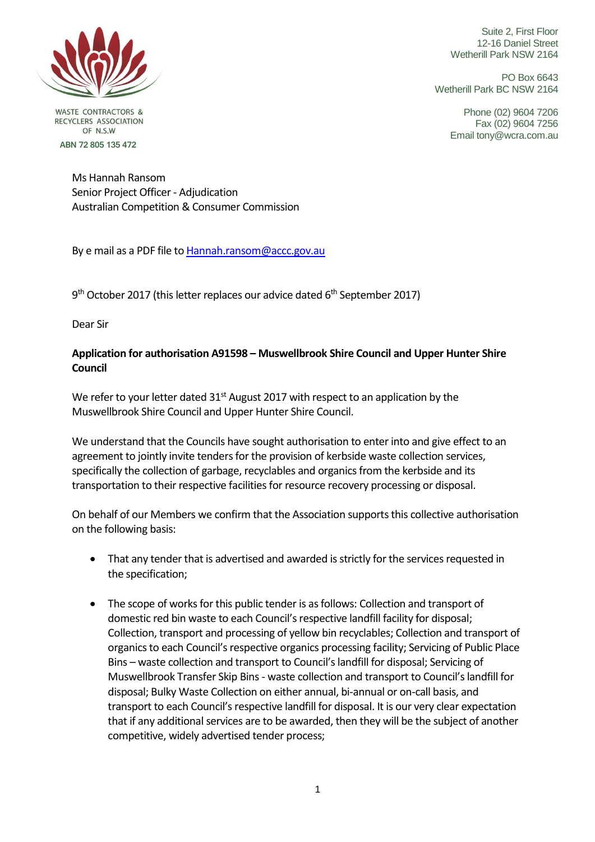

**WASTE CONTRACTORS &** RECYCLERS ASSOCIATION OF N S W ABN 72 805 135 472

Suite 2, First Floor 12-16 Daniel Street Wetherill Park NSW 2164

PO Box 6643 Wetherill Park BC NSW 2164

> Phone (02) 9604 7206 Fax (02) 9604 7256 Email tony@wcra.com.au

Ms Hannah Ransom Senior Project Officer - Adjudication Australian Competition & Consumer Commission

By e mail as a PDF file t[o Hannah.ransom@accc.gov.au](mailto:Hannah.ransom@accc.gov.au)

9<sup>th</sup> October 2017 (this letter replaces our advice dated 6<sup>th</sup> September 2017)

Dear Sir

## **Application for authorisation A91598 – Muswellbrook Shire Council and Upper Hunter Shire Council**

We refer to your letter dated  $31<sup>st</sup>$  August 2017 with respect to an application by the Muswellbrook Shire Council and Upper Hunter Shire Council.

We understand that the Councils have sought authorisation to enter into and give effect to an agreement to jointly invite tenders for the provision of kerbside waste collection services, specifically the collection of garbage, recyclables and organics from the kerbside and its transportation to their respective facilities for resource recovery processing or disposal.

On behalf of our Members we confirm that the Association supports this collective authorisation on the following basis:

- That any tender that is advertised and awarded is strictly for the services requested in the specification;
- The scope of works for this public tender is as follows: Collection and transport of domestic red bin waste to each Council's respective landfill facility for disposal; Collection, transport and processing of yellow bin recyclables; Collection and transport of organics to each Council's respective organics processing facility; Servicing of Public Place Bins – waste collection and transport to Council's landfill for disposal; Servicing of Muswellbrook Transfer Skip Bins - waste collection and transport to Council's landfill for disposal; Bulky Waste Collection on either annual, bi-annual or on-call basis, and transport to each Council's respective landfill for disposal. It is our very clear expectation that if any additional services are to be awarded, then they will be the subject of another competitive, widely advertised tender process;